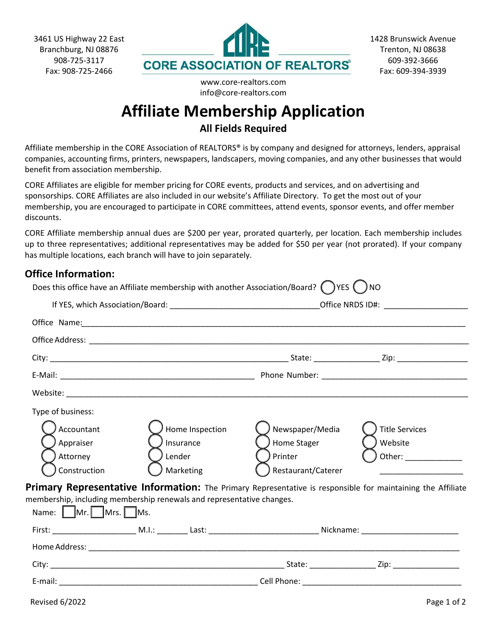

www.core-realtors.com info@core-realtors.com

## **Affiliate Membership Application**

**All Fields Required**

Affiliate membership in the CORE Association of REALTORS® is by company and designed for attorneys, lenders, appraisal companies, accounting firms, printers, newspapers, landscapers, moving companies, and any other businesses that would benefit from association membership.

CORE Affiliates are eligible for member pricing for CORE events, products and services, and on advertising and sponsorships. CORE Affiliates are also included in our website's Affiliate Directory. To get the most out of your membership, you are encouraged to participate in CORE committees, attend events, sponsor events, and offer member discounts.

CORE Affiliate membership annual dues are \$200 per year, prorated quarterly, per location. Each membership includes up to three representatives; additional representatives may be added for \$50 per year (not prorated). If your company has multiple locations, each branch will have to join separately.

## **Office Information:**

|                                                                          | Does this office have an Affiliate membership with another Association/Board? $($ $)$ YES $($ $)$ NO            |                                                                 |                                                                                                             |  |  |
|--------------------------------------------------------------------------|-----------------------------------------------------------------------------------------------------------------|-----------------------------------------------------------------|-------------------------------------------------------------------------------------------------------------|--|--|
|                                                                          |                                                                                                                 |                                                                 |                                                                                                             |  |  |
|                                                                          | Office Name: 1990 Manual Manual Manual Manual Manual Manual Manual Manual Manual Manual Manual Manual Manual Ma |                                                                 |                                                                                                             |  |  |
|                                                                          |                                                                                                                 |                                                                 |                                                                                                             |  |  |
|                                                                          |                                                                                                                 |                                                                 |                                                                                                             |  |  |
|                                                                          |                                                                                                                 |                                                                 |                                                                                                             |  |  |
|                                                                          |                                                                                                                 |                                                                 |                                                                                                             |  |  |
| Type of business:<br>Accountant<br>Appraiser<br>Attorney<br>Construction | Home Inspection<br>Insurance<br>Lender<br>Marketing                                                             | Newspaper/Media<br>Home Stager<br>Printer<br>Restaurant/Caterer | <b>Title Services</b><br>Website<br>Other: _______________                                                  |  |  |
| Name: Mr. Mrs. Ms.                                                       | membership, including membership renewals and representative changes.                                           |                                                                 | Primary Representative Information: The Primary Representative is responsible for maintaining the Affiliate |  |  |
|                                                                          |                                                                                                                 |                                                                 |                                                                                                             |  |  |
|                                                                          |                                                                                                                 |                                                                 |                                                                                                             |  |  |
|                                                                          |                                                                                                                 |                                                                 |                                                                                                             |  |  |
|                                                                          |                                                                                                                 |                                                                 |                                                                                                             |  |  |